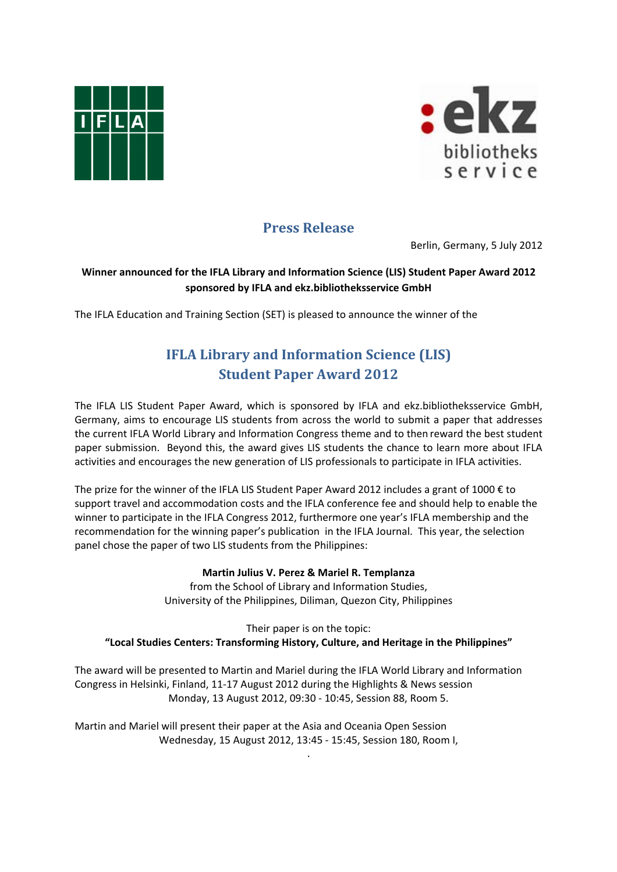



## **Press Release**

Berlin, Germany, 5 July 2012

## **Winner announced for the IFLA Library and Information Science (LIS) Student Paper Award 2012 sponsored by IFLA and ekz.bibliotheksservice GmbH**

The IFLA Education and Training Section (SET) is pleased to announce the winner of the

## **IFLA Library and Information Science (LIS) Student Paper Award 2012**

The IFLA LIS Student Paper Award, which is sponsored by IFLA and ekz.bibliotheksservice GmbH, Germany, aims to encourage LIS students from across the world to submit a paper that addresses the current IFLA World Library and Information Congress theme and to then reward the best student paper submission. Beyond this, the award gives LIS students the chance to learn more about IFLA activities and encourages the new generation of LIS professionals to participate in IFLA activities.

The prize for the winner of the IFLA LIS Student Paper Award 2012 includes a grant of 1000 € to support travel and accommodation costs and the IFLA conference fee and should help to enable the winner to participate in the IFLA Congress 2012, furthermore one year's IFLA membership and the recommendation for the winning paper's publication in the IFLA Journal. This year, the selection panel chose the paper of two LIS students from the Philippines:

## **Martin Julius V. Perez & Mariel R. Templanza**

from the School of Library and Information Studies, University of the Philippines, Diliman, Quezon City, Philippines

Their paper is on the topic: **"Local Studies Centers: Transforming History, Culture, and Heritage in the Philippines"** 

The award will be presented to Martin and Mariel during the IFLA World Library and Information Congress in Helsinki, Finland, 11‐17 August 2012 during the Highlights & News session Monday, 13 August 2012, 09:30 ‐ 10:45, Session 88, Room 5.

.

Martin and Mariel will present their paper at the Asia and Oceania Open Session Wednesday, 15 August 2012, 13:45 ‐ 15:45, Session 180, Room I,